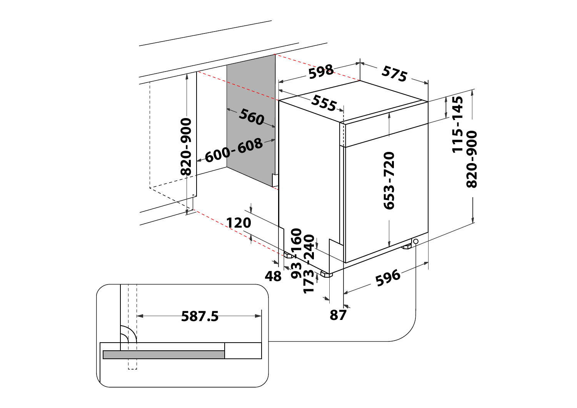